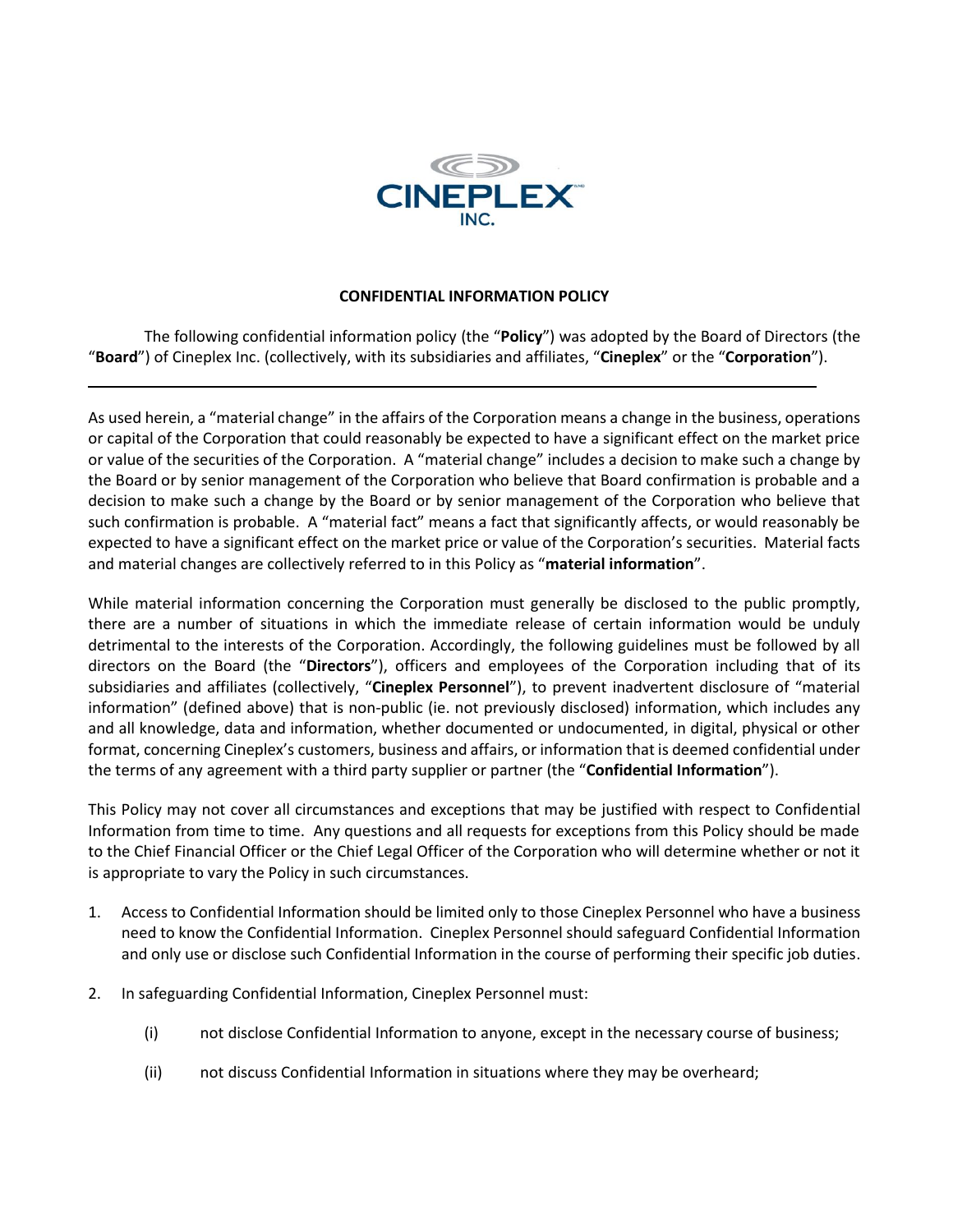

## **CONFIDENTIAL INFORMATION POLICY**

The following confidential information policy (the "**Policy**") was adopted by the Board of Directors (the "**Board**") of Cineplex Inc. (collectively, with its subsidiaries and affiliates, "**Cineplex**" or the "**Corporation**").

As used herein, a "material change" in the affairs of the Corporation means a change in the business, operations or capital of the Corporation that could reasonably be expected to have a significant effect on the market price or value of the securities of the Corporation. A "material change" includes a decision to make such a change by the Board or by senior management of the Corporation who believe that Board confirmation is probable and a decision to make such a change by the Board or by senior management of the Corporation who believe that such confirmation is probable. A "material fact" means a fact that significantly affects, or would reasonably be expected to have a significant effect on the market price or value of the Corporation's securities. Material facts and material changes are collectively referred to in this Policy as "**material information**".

While material information concerning the Corporation must generally be disclosed to the public promptly, there are a number of situations in which the immediate release of certain information would be unduly detrimental to the interests of the Corporation. Accordingly, the following guidelines must be followed by all directors on the Board (the "**Directors**"), officers and employees of the Corporation including that of its subsidiaries and affiliates (collectively, "**Cineplex Personnel**"), to prevent inadvertent disclosure of "material information" (defined above) that is non-public (ie. not previously disclosed) information, which includes any and all knowledge, data and information, whether documented or undocumented, in digital, physical or other format, concerning Cineplex's customers, business and affairs, or information that is deemed confidential under the terms of any agreement with a third party supplier or partner (the "**Confidential Information**").

This Policy may not cover all circumstances and exceptions that may be justified with respect to Confidential Information from time to time. Any questions and all requests for exceptions from this Policy should be made to the Chief Financial Officer or the Chief Legal Officer of the Corporation who will determine whether or not it is appropriate to vary the Policy in such circumstances.

- 1. Access to Confidential Information should be limited only to those Cineplex Personnel who have a business need to know the Confidential Information. Cineplex Personnel should safeguard Confidential Information and only use or disclose such Confidential Information in the course of performing their specific job duties.
- 2. In safeguarding Confidential Information, Cineplex Personnel must:
	- (i) not disclose Confidential Information to anyone, except in the necessary course of business;
	- (ii) not discuss Confidential Information in situations where they may be overheard;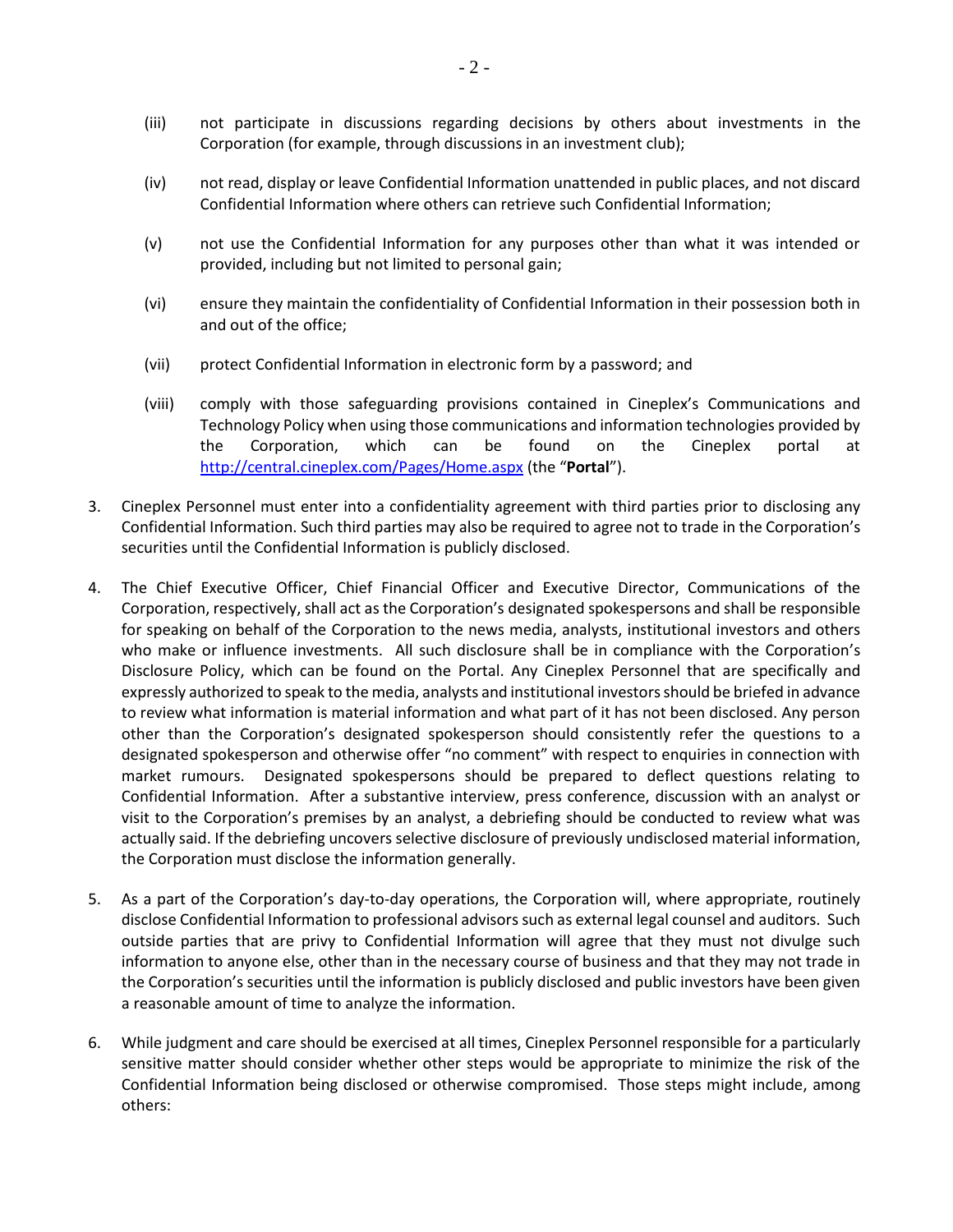- (iii) not participate in discussions regarding decisions by others about investments in the Corporation (for example, through discussions in an investment club);
- (iv) not read, display or leave Confidential Information unattended in public places, and not discard Confidential Information where others can retrieve such Confidential Information;
- (v) not use the Confidential Information for any purposes other than what it was intended or provided, including but not limited to personal gain;
- (vi) ensure they maintain the confidentiality of Confidential Information in their possession both in and out of the office;
- (vii) protect Confidential Information in electronic form by a password; and
- (viii) comply with those safeguarding provisions contained in Cineplex's Communications and Technology Policy when using those communications and information technologies provided by the Corporation, which can be found on the Cineplex portal at <http://central.cineplex.com/Pages/Home.aspx> (the "**Portal**").
- 3. Cineplex Personnel must enter into a confidentiality agreement with third parties prior to disclosing any Confidential Information. Such third parties may also be required to agree not to trade in the Corporation's securities until the Confidential Information is publicly disclosed.
- 4. The Chief Executive Officer, Chief Financial Officer and Executive Director, Communications of the Corporation, respectively, shall act as the Corporation's designated spokespersons and shall be responsible for speaking on behalf of the Corporation to the news media, analysts, institutional investors and others who make or influence investments. All such disclosure shall be in compliance with the Corporation's Disclosure Policy, which can be found on the Portal. Any Cineplex Personnel that are specifically and expressly authorized to speak to the media, analysts and institutional investors should be briefed in advance to review what information is material information and what part of it has not been disclosed. Any person other than the Corporation's designated spokesperson should consistently refer the questions to a designated spokesperson and otherwise offer "no comment" with respect to enquiries in connection with market rumours. Designated spokespersons should be prepared to deflect questions relating to Confidential Information. After a substantive interview, press conference, discussion with an analyst or visit to the Corporation's premises by an analyst, a debriefing should be conducted to review what was actually said. If the debriefing uncovers selective disclosure of previously undisclosed material information, the Corporation must disclose the information generally.
- 5. As a part of the Corporation's day-to-day operations, the Corporation will, where appropriate, routinely disclose Confidential Information to professional advisors such as external legal counsel and auditors. Such outside parties that are privy to Confidential Information will agree that they must not divulge such information to anyone else, other than in the necessary course of business and that they may not trade in the Corporation's securities until the information is publicly disclosed and public investors have been given a reasonable amount of time to analyze the information.
- 6. While judgment and care should be exercised at all times, Cineplex Personnel responsible for a particularly sensitive matter should consider whether other steps would be appropriate to minimize the risk of the Confidential Information being disclosed or otherwise compromised. Those steps might include, among others: